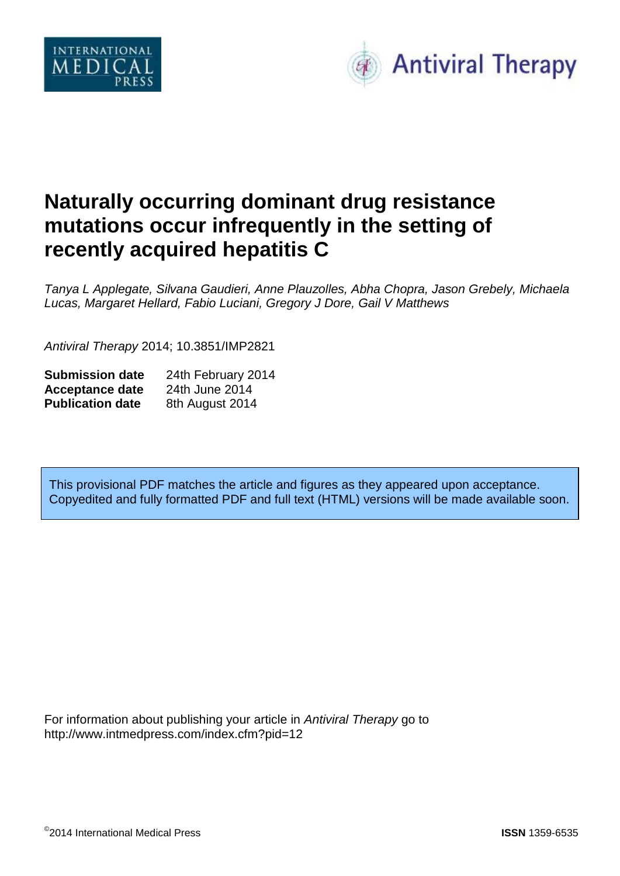



# **Naturally occurring dominant drug resistance mutations occur infrequently in the setting of recently acquired hepatitis C**

*Tanya L Applegate, Silvana Gaudieri, Anne Plauzolles, Abha Chopra, Jason Grebely, Michaela Lucas, Margaret Hellard, Fabio Luciani, Gregory J Dore, Gail V Matthews*

*Antiviral Therapy* 2014; 10.3851/IMP2821

| <b>Submission date</b>  | 24th February 2014 |
|-------------------------|--------------------|
| <b>Acceptance date</b>  | 24th June 2014     |
| <b>Publication date</b> | 8th August 2014    |

This provisional PDF matches the article and figures as they appeared upon acceptance. Copyedited and fully formatted PDF and full text (HTML) versions will be made available soon.

For information about publishing your article in *Antiviral Therapy* go to http://www.intmedpress.com/index.cfm?pid=12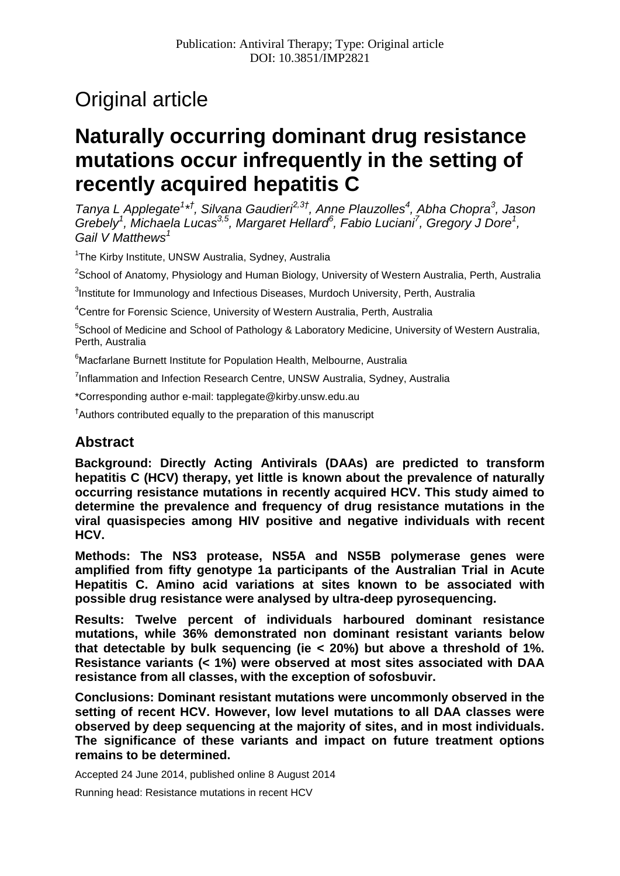# Original article

## **Naturally occurring dominant drug resistance mutations occur infrequently in the setting of recently acquired hepatitis C**

*Tanya L Applegate<sup>1</sup> \* † , Silvana Gaudieri2,3† , Anne Plauzolles<sup>4</sup> , Abha Chopra<sup>3</sup> , Jason Grebely<sup>1</sup> , Michaela Lucas3,5 , Margaret Hellard<sup>6</sup> , Fabio Luciani<sup>7</sup> , Gregory J Dore<sup>1</sup> , Gail V Matthews<sup>1</sup>*

<sup>1</sup>The Kirby Institute, UNSW Australia, Sydney, Australia

<sup>2</sup>School of Anatomy, Physiology and Human Biology, University of Western Australia, Perth, Australia

<sup>3</sup>Institute for Immunology and Infectious Diseases, Murdoch University, Perth, Australia

<sup>4</sup>Centre for Forensic Science, University of Western Australia, Perth, Australia

<sup>5</sup>School of Medicine and School of Pathology & Laboratory Medicine, University of Western Australia, Perth, Australia

<sup>6</sup> Macfarlane Burnett Institute for Population Health, Melbourne, Australia

<sup>7</sup>Inflammation and Infection Research Centre, UNSW Australia, Sydney, Australia

\*Corresponding author e-mail: tapplegate@kirby.unsw.edu.au

† Authors contributed equally to the preparation of this manuscript

## **Abstract**

**Background: Directly Acting Antivirals (DAAs) are predicted to transform hepatitis C (HCV) therapy, yet little is known about the prevalence of naturally occurring resistance mutations in recently acquired HCV. This study aimed to determine the prevalence and frequency of drug resistance mutations in the viral quasispecies among HIV positive and negative individuals with recent HCV.**

**Methods: The NS3 protease, NS5A and NS5B polymerase genes were amplified from fifty genotype 1a participants of the Australian Trial in Acute Hepatitis C. Amino acid variations at sites known to be associated with possible drug resistance were analysed by ultra-deep pyrosequencing.**

**Results: Twelve percent of individuals harboured dominant resistance mutations, while 36% demonstrated non dominant resistant variants below that detectable by bulk sequencing (ie < 20%) but above a threshold of 1%. Resistance variants (< 1%) were observed at most sites associated with DAA resistance from all classes, with the exception of sofosbuvir.**

**Conclusions: Dominant resistant mutations were uncommonly observed in the setting of recent HCV. However, low level mutations to all DAA classes were observed by deep sequencing at the majority of sites, and in most individuals. The significance of these variants and impact on future treatment options remains to be determined.**

Accepted 24 June 2014, published online 8 August 2014

Running head: Resistance mutations in recent HCV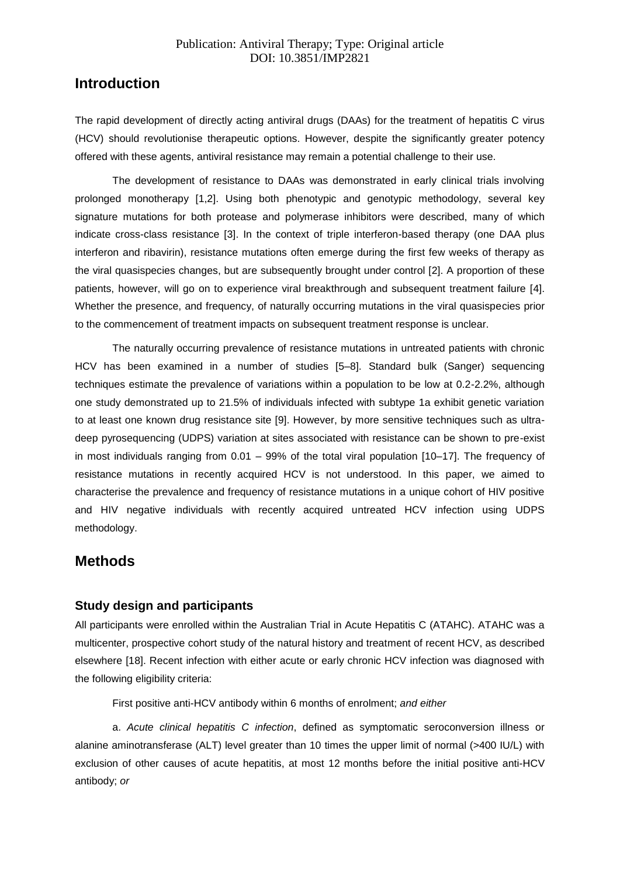## **Introduction**

The rapid development of directly acting antiviral drugs (DAAs) for the treatment of hepatitis C virus (HCV) should revolutionise therapeutic options. However, despite the significantly greater potency offered with these agents, antiviral resistance may remain a potential challenge to their use.

The development of resistance to DAAs was demonstrated in early clinical trials involving prolonged monotherapy [1,2]. Using both phenotypic and genotypic methodology, several key signature mutations for both protease and polymerase inhibitors were described, many of which indicate cross-class resistance [3]. In the context of triple interferon-based therapy (one DAA plus interferon and ribavirin), resistance mutations often emerge during the first few weeks of therapy as the viral quasispecies changes, but are subsequently brought under control [2]. A proportion of these patients, however, will go on to experience viral breakthrough and subsequent treatment failure [4]. Whether the presence, and frequency, of naturally occurring mutations in the viral quasispecies prior to the commencement of treatment impacts on subsequent treatment response is unclear.

The naturally occurring prevalence of resistance mutations in untreated patients with chronic HCV has been examined in a number of studies [5–8]. Standard bulk (Sanger) sequencing techniques estimate the prevalence of variations within a population to be low at 0.2-2.2%, although one study demonstrated up to 21.5% of individuals infected with subtype 1a exhibit genetic variation to at least one known drug resistance site [9]. However, by more sensitive techniques such as ultradeep pyrosequencing (UDPS) variation at sites associated with resistance can be shown to pre-exist in most individuals ranging from 0.01 – 99% of the total viral population [10–17]. The frequency of resistance mutations in recently acquired HCV is not understood. In this paper, we aimed to characterise the prevalence and frequency of resistance mutations in a unique cohort of HIV positive and HIV negative individuals with recently acquired untreated HCV infection using UDPS methodology.

## **Methods**

## **Study design and participants**

All participants were enrolled within the Australian Trial in Acute Hepatitis C (ATAHC). ATAHC was a multicenter, prospective cohort study of the natural history and treatment of recent HCV, as described elsewhere [18]. Recent infection with either acute or early chronic HCV infection was diagnosed with the following eligibility criteria:

First positive anti-HCV antibody within 6 months of enrolment; *and either*

a. *Acute clinical hepatitis C infection*, defined as symptomatic seroconversion illness or alanine aminotransferase (ALT) level greater than 10 times the upper limit of normal (>400 IU/L) with exclusion of other causes of acute hepatitis, at most 12 months before the initial positive anti-HCV antibody; *or*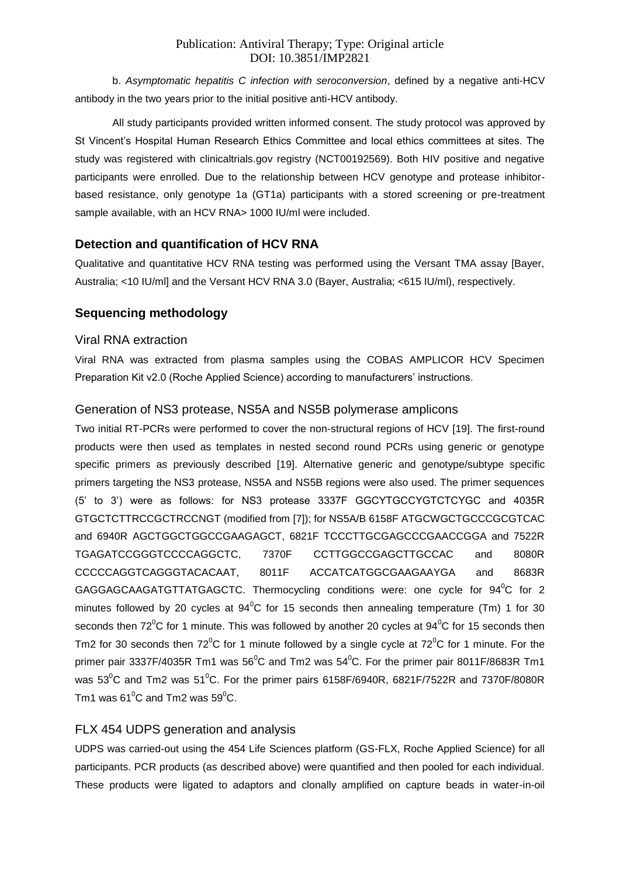b. *Asymptomatic hepatitis C infection with seroconversion*, defined by a negative anti-HCV antibody in the two years prior to the initial positive anti-HCV antibody.

All study participants provided written informed consent. The study protocol was approved by St Vincent's Hospital Human Research Ethics Committee and local ethics committees at sites. The study was registered with clinicaltrials.gov registry (NCT00192569). Both HIV positive and negative participants were enrolled. Due to the relationship between HCV genotype and protease inhibitorbased resistance, only genotype 1a (GT1a) participants with a stored screening or pre-treatment sample available, with an HCV RNA> 1000 IU/ml were included.

## **Detection and quantification of HCV RNA**

Qualitative and quantitative HCV RNA testing was performed using the Versant TMA assay [Bayer, Australia; <10 IU/ml] and the Versant HCV RNA 3.0 (Bayer, Australia; <615 IU/ml), respectively.

## **Sequencing methodology**

#### Viral RNA extraction

Viral RNA was extracted from plasma samples using the COBAS AMPLICOR HCV Specimen Preparation Kit v2.0 (Roche Applied Science) according to manufacturers' instructions.

## Generation of NS3 protease, NS5A and NS5B polymerase amplicons

Two initial RT-PCRs were performed to cover the non-structural regions of HCV [19]. The first-round products were then used as templates in nested second round PCRs using generic or genotype specific primers as previously described [19]. Alternative generic and genotype/subtype specific primers targeting the NS3 protease, NS5A and NS5B regions were also used. The primer sequences (5' to 3') were as follows: for NS3 protease 3337F GGCYTGCCYGTCTCYGC and 4035R GTGCTCTTRCCGCTRCCNGT (modified from [7]); for NS5A/B 6158F ATGCWGCTGCCCGCGTCAC and 6940R AGCTGGCTGGCCGAAGAGCT, 6821F TCCCTTGCGAGCCCGAACCGGA and 7522R TGAGATCCGGGTCCCCAGGCTC, 7370F CCTTGGCCGAGCTTGCCAC and 8080R CCCCCAGGTCAGGGTACACAAT, 8011F ACCATCATGGCGAAGAAYGA and 8683R GAGGAGCAAGATGTTATGAGCTC. Thermocycling conditions were: one cycle for 94<sup>0</sup>C for 2 minutes followed by 20 cycles at  $94^{\circ}$ C for 15 seconds then annealing temperature (Tm) 1 for 30 seconds then 72<sup>o</sup>C for 1 minute. This was followed by another 20 cycles at  $94^{\circ}$ C for 15 seconds then Tm2 for 30 seconds then  $72^{\circ}$ C for 1 minute followed by a single cycle at  $72^{\circ}$ C for 1 minute. For the primer pair 3337F/4035R Tm1 was  $56^{\circ}$ C and Tm2 was  $54^{\circ}$ C. For the primer pair 8011F/8683R Tm1 was  $53^{\circ}$ C and Tm2 was  $51^{\circ}$ C. For the primer pairs 6158F/6940R, 6821F/7522R and 7370F/8080R Tm1 was  $61^{\circ}$ C and Tm2 was  $59^{\circ}$ C.

## FLX 454 UDPS generation and analysis

UDPS was carried-out using the 454 Life Sciences platform (GS-FLX, Roche Applied Science) for all participants. PCR products (as described above) were quantified and then pooled for each individual. These products were ligated to adaptors and clonally amplified on capture beads in water-in-oil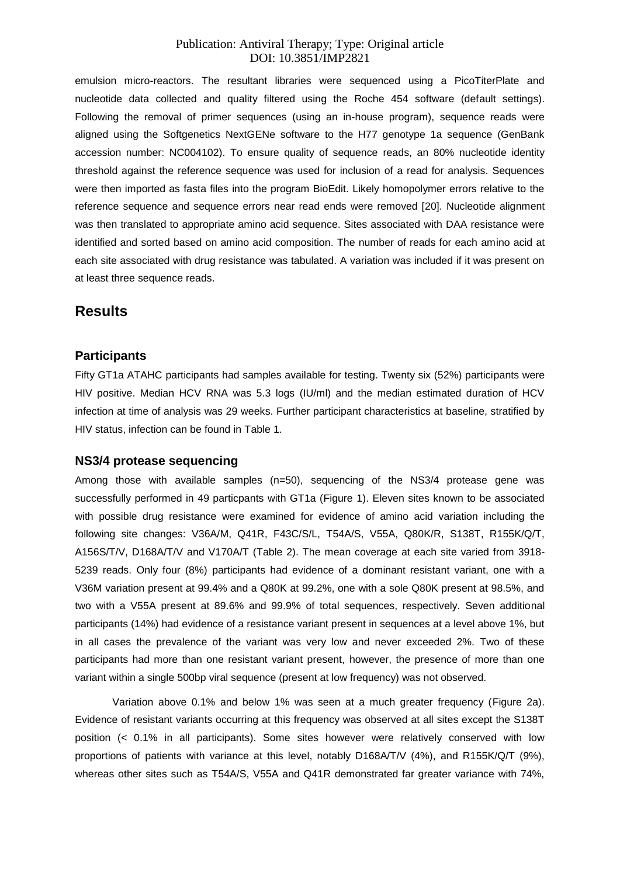emulsion micro-reactors. The resultant libraries were sequenced using a PicoTiterPlate and nucleotide data collected and quality filtered using the Roche 454 software (default settings). Following the removal of primer sequences (using an in-house program), sequence reads were aligned using the Softgenetics NextGENe software to the H77 genotype 1a sequence (GenBank accession number: NC004102). To ensure quality of sequence reads, an 80% nucleotide identity threshold against the reference sequence was used for inclusion of a read for analysis. Sequences were then imported as fasta files into the program BioEdit. Likely homopolymer errors relative to the reference sequence and sequence errors near read ends were removed [20]. Nucleotide alignment was then translated to appropriate amino acid sequence. Sites associated with DAA resistance were identified and sorted based on amino acid composition. The number of reads for each amino acid at each site associated with drug resistance was tabulated. A variation was included if it was present on at least three sequence reads.

## **Results**

#### **Participants**

Fifty GT1a ATAHC participants had samples available for testing. Twenty six (52%) participants were HIV positive. Median HCV RNA was 5.3 logs (IU/ml) and the median estimated duration of HCV infection at time of analysis was 29 weeks. Further participant characteristics at baseline, stratified by HIV status, infection can be found in Table 1.

#### **NS3/4 protease sequencing**

Among those with available samples (n=50), sequencing of the NS3/4 protease gene was successfully performed in 49 particpants with GT1a (Figure 1). Eleven sites known to be associated with possible drug resistance were examined for evidence of amino acid variation including the following site changes: V36A/M, Q41R, F43C/S/L, T54A/S, V55A, Q80K/R, S138T, R155K/Q/T, A156S/T/V, D168A/T/V and V170A/T (Table 2). The mean coverage at each site varied from 3918- 5239 reads. Only four (8%) participants had evidence of a dominant resistant variant, one with a V36M variation present at 99.4% and a Q80K at 99.2%, one with a sole Q80K present at 98.5%, and two with a V55A present at 89.6% and 99.9% of total sequences, respectively. Seven additional participants (14%) had evidence of a resistance variant present in sequences at a level above 1%, but in all cases the prevalence of the variant was very low and never exceeded 2%. Two of these participants had more than one resistant variant present, however, the presence of more than one variant within a single 500bp viral sequence (present at low frequency) was not observed.

Variation above 0.1% and below 1% was seen at a much greater frequency (Figure 2a). Evidence of resistant variants occurring at this frequency was observed at all sites except the S138T position (< 0.1% in all participants). Some sites however were relatively conserved with low proportions of patients with variance at this level, notably D168A/T/V (4%), and R155K/Q/T (9%), whereas other sites such as T54A/S, V55A and Q41R demonstrated far greater variance with 74%,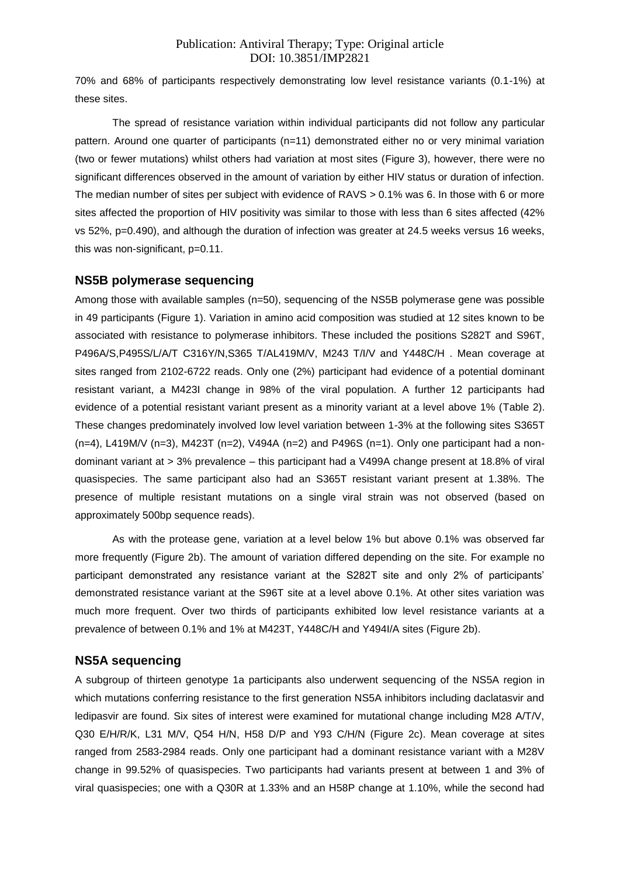70% and 68% of participants respectively demonstrating low level resistance variants (0.1-1%) at these sites.

The spread of resistance variation within individual participants did not follow any particular pattern. Around one quarter of participants (n=11) demonstrated either no or very minimal variation (two or fewer mutations) whilst others had variation at most sites (Figure 3), however, there were no significant differences observed in the amount of variation by either HIV status or duration of infection. The median number of sites per subject with evidence of RAVS > 0.1% was 6. In those with 6 or more sites affected the proportion of HIV positivity was similar to those with less than 6 sites affected (42% vs 52%, p=0.490), and although the duration of infection was greater at 24.5 weeks versus 16 weeks, this was non-significant, p=0.11.

#### **NS5B polymerase sequencing**

Among those with available samples (n=50), sequencing of the NS5B polymerase gene was possible in 49 participants (Figure 1). Variation in amino acid composition was studied at 12 sites known to be associated with resistance to polymerase inhibitors. These included the positions S282T and S96T, P496A/S,P495S/L/A/T C316Y/N,S365 T/AL419M/V, M243 T/I/V and Y448C/H . Mean coverage at sites ranged from 2102-6722 reads. Only one (2%) participant had evidence of a potential dominant resistant variant, a M423I change in 98% of the viral population. A further 12 participants had evidence of a potential resistant variant present as a minority variant at a level above 1% (Table 2). These changes predominately involved low level variation between 1-3% at the following sites S365T  $(n=4)$ , L419M/V (n=3), M423T (n=2), V494A (n=2) and P496S (n=1). Only one participant had a nondominant variant at > 3% prevalence – this participant had a V499A change present at 18.8% of viral quasispecies. The same participant also had an S365T resistant variant present at 1.38%. The presence of multiple resistant mutations on a single viral strain was not observed (based on approximately 500bp sequence reads).

As with the protease gene, variation at a level below 1% but above 0.1% was observed far more frequently (Figure 2b). The amount of variation differed depending on the site. For example no participant demonstrated any resistance variant at the S282T site and only 2% of participants' demonstrated resistance variant at the S96T site at a level above 0.1%. At other sites variation was much more frequent. Over two thirds of participants exhibited low level resistance variants at a prevalence of between 0.1% and 1% at M423T, Y448C/H and Y494I/A sites (Figure 2b).

## **NS5A sequencing**

A subgroup of thirteen genotype 1a participants also underwent sequencing of the NS5A region in which mutations conferring resistance to the first generation NS5A inhibitors including daclatasvir and ledipasvir are found. Six sites of interest were examined for mutational change including M28 A/T/V, Q30 E/H/R/K, L31 M/V, Q54 H/N, H58 D/P and Y93 C/H/N (Figure 2c). Mean coverage at sites ranged from 2583-2984 reads. Only one participant had a dominant resistance variant with a M28V change in 99.52% of quasispecies. Two participants had variants present at between 1 and 3% of viral quasispecies; one with a Q30R at 1.33% and an H58P change at 1.10%, while the second had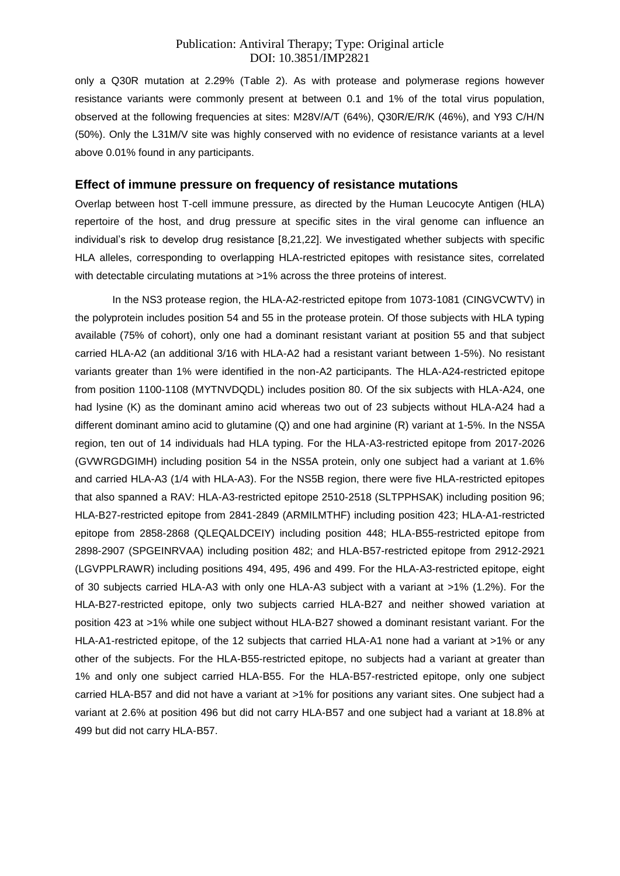only a Q30R mutation at 2.29% (Table 2). As with protease and polymerase regions however resistance variants were commonly present at between 0.1 and 1% of the total virus population, observed at the following frequencies at sites: M28V/A/T (64%), Q30R/E/R/K (46%), and Y93 C/H/N (50%). Only the L31M/V site was highly conserved with no evidence of resistance variants at a level above 0.01% found in any participants.

#### **Effect of immune pressure on frequency of resistance mutations**

Overlap between host T-cell immune pressure, as directed by the Human Leucocyte Antigen (HLA) repertoire of the host, and drug pressure at specific sites in the viral genome can influence an individual's risk to develop drug resistance [8,21,22]. We investigated whether subjects with specific HLA alleles, corresponding to overlapping HLA-restricted epitopes with resistance sites, correlated with detectable circulating mutations at >1% across the three proteins of interest.

In the NS3 protease region, the HLA-A2-restricted epitope from 1073-1081 (CINGVCWTV) in the polyprotein includes position 54 and 55 in the protease protein. Of those subjects with HLA typing available (75% of cohort), only one had a dominant resistant variant at position 55 and that subject carried HLA-A2 (an additional 3/16 with HLA-A2 had a resistant variant between 1-5%). No resistant variants greater than 1% were identified in the non-A2 participants. The HLA-A24-restricted epitope from position 1100-1108 (MYTNVDQDL) includes position 80. Of the six subjects with HLA-A24, one had lysine (K) as the dominant amino acid whereas two out of 23 subjects without HLA-A24 had a different dominant amino acid to glutamine (Q) and one had arginine (R) variant at 1-5%. In the NS5A region, ten out of 14 individuals had HLA typing. For the HLA-A3-restricted epitope from 2017-2026 (GVWRGDGIMH) including position 54 in the NS5A protein, only one subject had a variant at 1.6% and carried HLA-A3 (1/4 with HLA-A3). For the NS5B region, there were five HLA-restricted epitopes that also spanned a RAV: HLA-A3-restricted epitope 2510-2518 (SLTPPHSAK) including position 96; HLA-B27-restricted epitope from 2841-2849 (ARMILMTHF) including position 423; HLA-A1-restricted epitope from 2858-2868 (QLEQALDCEIY) including position 448; HLA-B55-restricted epitope from 2898-2907 (SPGEINRVAA) including position 482; and HLA-B57-restricted epitope from 2912-2921 (LGVPPLRAWR) including positions 494, 495, 496 and 499. For the HLA-A3-restricted epitope, eight of 30 subjects carried HLA-A3 with only one HLA-A3 subject with a variant at >1% (1.2%). For the HLA-B27-restricted epitope, only two subjects carried HLA-B27 and neither showed variation at position 423 at >1% while one subject without HLA-B27 showed a dominant resistant variant. For the HLA-A1-restricted epitope, of the 12 subjects that carried HLA-A1 none had a variant at >1% or any other of the subjects. For the HLA-B55-restricted epitope, no subjects had a variant at greater than 1% and only one subject carried HLA-B55. For the HLA-B57-restricted epitope, only one subject carried HLA-B57 and did not have a variant at >1% for positions any variant sites. One subject had a variant at 2.6% at position 496 but did not carry HLA-B57 and one subject had a variant at 18.8% at 499 but did not carry HLA-B57.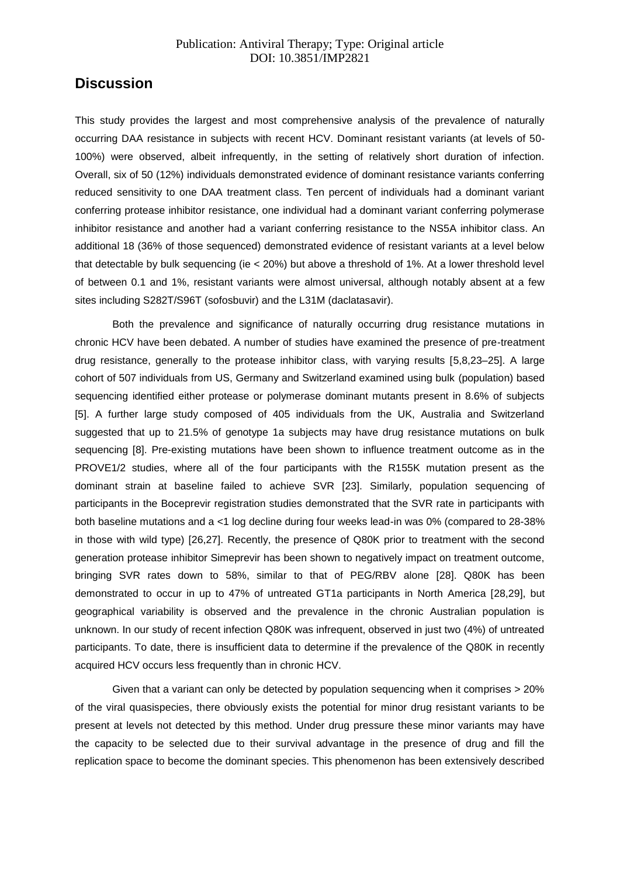## **Discussion**

This study provides the largest and most comprehensive analysis of the prevalence of naturally occurring DAA resistance in subjects with recent HCV. Dominant resistant variants (at levels of 50- 100%) were observed, albeit infrequently, in the setting of relatively short duration of infection. Overall, six of 50 (12%) individuals demonstrated evidence of dominant resistance variants conferring reduced sensitivity to one DAA treatment class. Ten percent of individuals had a dominant variant conferring protease inhibitor resistance, one individual had a dominant variant conferring polymerase inhibitor resistance and another had a variant conferring resistance to the NS5A inhibitor class. An additional 18 (36% of those sequenced) demonstrated evidence of resistant variants at a level below that detectable by bulk sequencing (ie < 20%) but above a threshold of 1%. At a lower threshold level of between 0.1 and 1%, resistant variants were almost universal, although notably absent at a few sites including S282T/S96T (sofosbuvir) and the L31M (daclatasavir).

Both the prevalence and significance of naturally occurring drug resistance mutations in chronic HCV have been debated. A number of studies have examined the presence of pre-treatment drug resistance, generally to the protease inhibitor class, with varying results [5,8,23–25]. A large cohort of 507 individuals from US, Germany and Switzerland examined using bulk (population) based sequencing identified either protease or polymerase dominant mutants present in 8.6% of subjects [5]. A further large study composed of 405 individuals from the UK, Australia and Switzerland suggested that up to 21.5% of genotype 1a subjects may have drug resistance mutations on bulk sequencing [8]. Pre-existing mutations have been shown to influence treatment outcome as in the PROVE1/2 studies, where all of the four participants with the R155K mutation present as the dominant strain at baseline failed to achieve SVR [23]. Similarly, population sequencing of participants in the Boceprevir registration studies demonstrated that the SVR rate in participants with both baseline mutations and a <1 log decline during four weeks lead-in was 0% (compared to 28-38% in those with wild type) [26,27]. Recently, the presence of Q80K prior to treatment with the second generation protease inhibitor Simeprevir has been shown to negatively impact on treatment outcome, bringing SVR rates down to 58%, similar to that of PEG/RBV alone [28]. Q80K has been demonstrated to occur in up to 47% of untreated GT1a participants in North America [28,29], but geographical variability is observed and the prevalence in the chronic Australian population is unknown. In our study of recent infection Q80K was infrequent, observed in just two (4%) of untreated participants. To date, there is insufficient data to determine if the prevalence of the Q80K in recently acquired HCV occurs less frequently than in chronic HCV.

Given that a variant can only be detected by population sequencing when it comprises > 20% of the viral quasispecies, there obviously exists the potential for minor drug resistant variants to be present at levels not detected by this method. Under drug pressure these minor variants may have the capacity to be selected due to their survival advantage in the presence of drug and fill the replication space to become the dominant species. This phenomenon has been extensively described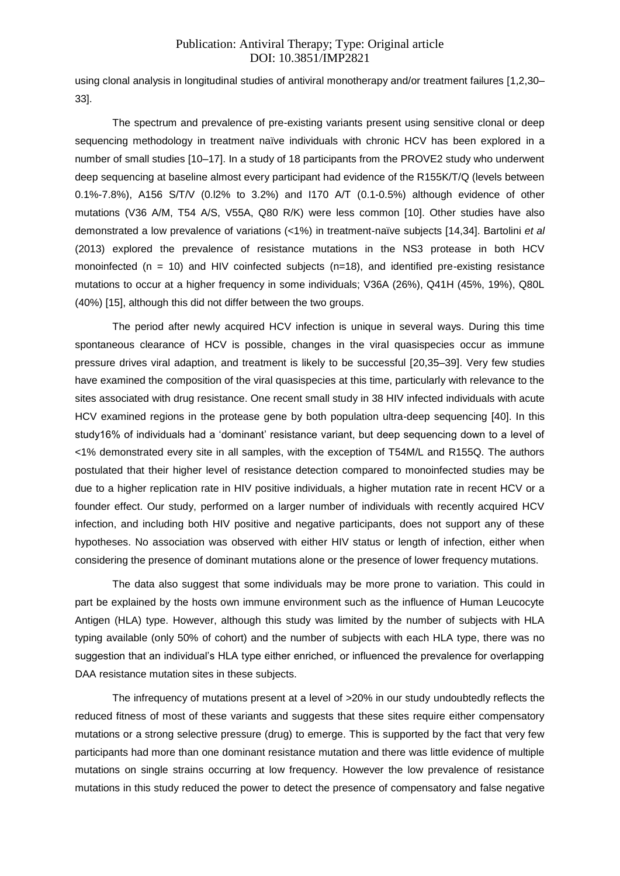using clonal analysis in longitudinal studies of antiviral monotherapy and/or treatment failures [1,2,30– 33].

The spectrum and prevalence of pre-existing variants present using sensitive clonal or deep sequencing methodology in treatment naïve individuals with chronic HCV has been explored in a number of small studies [10–17]. In a study of 18 participants from the PROVE2 study who underwent deep sequencing at baseline almost every participant had evidence of the R155K/T/Q (levels between 0.1%-7.8%), A156 S/T/V (0.l2% to 3.2%) and I170 A/T (0.1-0.5%) although evidence of other mutations (V36 A/M, T54 A/S, V55A, Q80 R/K) were less common [10]. Other studies have also demonstrated a low prevalence of variations (<1%) in treatment-naïve subjects [14,34]. Bartolini *et al* (2013) explored the prevalence of resistance mutations in the NS3 protease in both HCV monoinfected ( $n = 10$ ) and HIV coinfected subjects ( $n=18$ ), and identified pre-existing resistance mutations to occur at a higher frequency in some individuals; V36A (26%), Q41H (45%, 19%), Q80L (40%) [15], although this did not differ between the two groups.

The period after newly acquired HCV infection is unique in several ways. During this time spontaneous clearance of HCV is possible, changes in the viral quasispecies occur as immune pressure drives viral adaption, and treatment is likely to be successful [20,35–39]. Very few studies have examined the composition of the viral quasispecies at this time, particularly with relevance to the sites associated with drug resistance. One recent small study in 38 HIV infected individuals with acute HCV examined regions in the protease gene by both population ultra-deep sequencing [40]. In this study16% of individuals had a 'dominant' resistance variant, but deep sequencing down to a level of <1% demonstrated every site in all samples, with the exception of T54M/L and R155Q. The authors postulated that their higher level of resistance detection compared to monoinfected studies may be due to a higher replication rate in HIV positive individuals, a higher mutation rate in recent HCV or a founder effect. Our study, performed on a larger number of individuals with recently acquired HCV infection, and including both HIV positive and negative participants, does not support any of these hypotheses. No association was observed with either HIV status or length of infection, either when considering the presence of dominant mutations alone or the presence of lower frequency mutations.

The data also suggest that some individuals may be more prone to variation. This could in part be explained by the hosts own immune environment such as the influence of Human Leucocyte Antigen (HLA) type. However, although this study was limited by the number of subjects with HLA typing available (only 50% of cohort) and the number of subjects with each HLA type, there was no suggestion that an individual's HLA type either enriched, or influenced the prevalence for overlapping DAA resistance mutation sites in these subjects.

The infrequency of mutations present at a level of >20% in our study undoubtedly reflects the reduced fitness of most of these variants and suggests that these sites require either compensatory mutations or a strong selective pressure (drug) to emerge. This is supported by the fact that very few participants had more than one dominant resistance mutation and there was little evidence of multiple mutations on single strains occurring at low frequency. However the low prevalence of resistance mutations in this study reduced the power to detect the presence of compensatory and false negative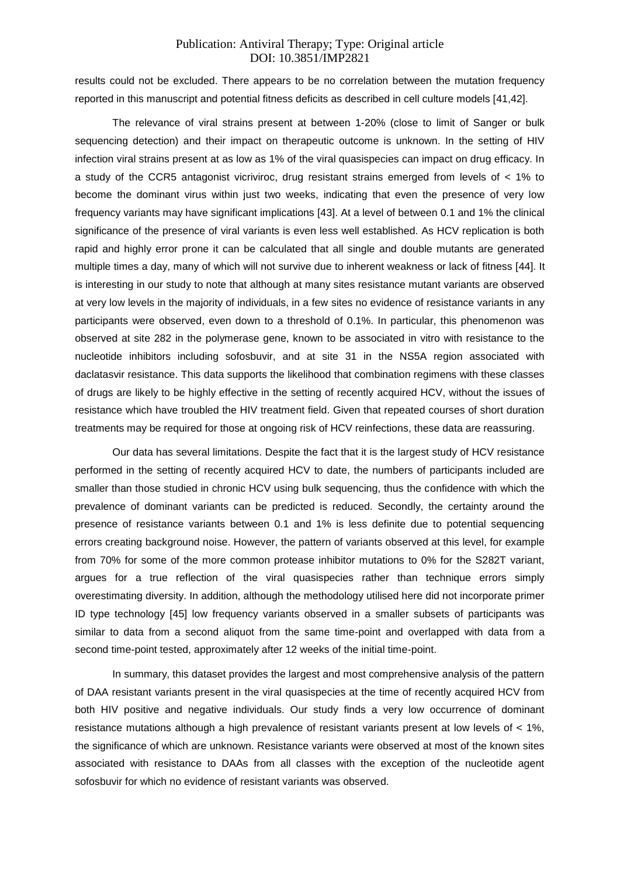results could not be excluded. There appears to be no correlation between the mutation frequency reported in this manuscript and potential fitness deficits as described in cell culture models [41,42].

The relevance of viral strains present at between 1-20% (close to limit of Sanger or bulk sequencing detection) and their impact on therapeutic outcome is unknown. In the setting of HIV infection viral strains present at as low as 1% of the viral quasispecies can impact on drug efficacy. In a study of the CCR5 antagonist vicriviroc, drug resistant strains emerged from levels of < 1% to become the dominant virus within just two weeks, indicating that even the presence of very low frequency variants may have significant implications [43]. At a level of between 0.1 and 1% the clinical significance of the presence of viral variants is even less well established. As HCV replication is both rapid and highly error prone it can be calculated that all single and double mutants are generated multiple times a day, many of which will not survive due to inherent weakness or lack of fitness [44]. It is interesting in our study to note that although at many sites resistance mutant variants are observed at very low levels in the majority of individuals, in a few sites no evidence of resistance variants in any participants were observed, even down to a threshold of 0.1%. In particular, this phenomenon was observed at site 282 in the polymerase gene, known to be associated in vitro with resistance to the nucleotide inhibitors including sofosbuvir, and at site 31 in the NS5A region associated with daclatasvir resistance. This data supports the likelihood that combination regimens with these classes of drugs are likely to be highly effective in the setting of recently acquired HCV, without the issues of resistance which have troubled the HIV treatment field. Given that repeated courses of short duration treatments may be required for those at ongoing risk of HCV reinfections, these data are reassuring.

Our data has several limitations. Despite the fact that it is the largest study of HCV resistance performed in the setting of recently acquired HCV to date, the numbers of participants included are smaller than those studied in chronic HCV using bulk sequencing, thus the confidence with which the prevalence of dominant variants can be predicted is reduced. Secondly, the certainty around the presence of resistance variants between 0.1 and 1% is less definite due to potential sequencing errors creating background noise. However, the pattern of variants observed at this level, for example from 70% for some of the more common protease inhibitor mutations to 0% for the S282T variant, argues for a true reflection of the viral quasispecies rather than technique errors simply overestimating diversity. In addition, although the methodology utilised here did not incorporate primer ID type technology [45] low frequency variants observed in a smaller subsets of participants was similar to data from a second aliquot from the same time-point and overlapped with data from a second time-point tested, approximately after 12 weeks of the initial time-point.

In summary, this dataset provides the largest and most comprehensive analysis of the pattern of DAA resistant variants present in the viral quasispecies at the time of recently acquired HCV from both HIV positive and negative individuals. Our study finds a very low occurrence of dominant resistance mutations although a high prevalence of resistant variants present at low levels of < 1%, the significance of which are unknown. Resistance variants were observed at most of the known sites associated with resistance to DAAs from all classes with the exception of the nucleotide agent sofosbuvir for which no evidence of resistant variants was observed.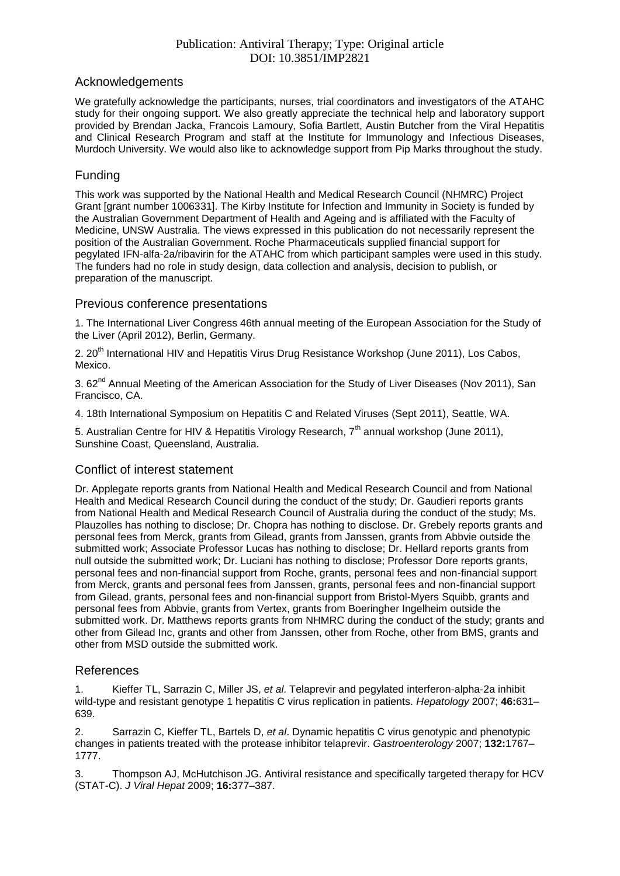#### Acknowledgements

We gratefully acknowledge the participants, nurses, trial coordinators and investigators of the ATAHC study for their ongoing support. We also greatly appreciate the technical help and laboratory support provided by Brendan Jacka, Francois Lamoury, Sofia Bartlett, Austin Butcher from the Viral Hepatitis and Clinical Research Program and staff at the Institute for Immunology and Infectious Diseases, Murdoch University. We would also like to acknowledge support from Pip Marks throughout the study.

#### Funding

This work was supported by the National Health and Medical Research Council (NHMRC) Project Grant [grant number 1006331]. The Kirby Institute for Infection and Immunity in Society is funded by the Australian Government Department of Health and Ageing and is affiliated with the Faculty of Medicine, UNSW Australia. The views expressed in this publication do not necessarily represent the position of the Australian Government. Roche Pharmaceuticals supplied financial support for pegylated IFN-alfa-2a/ribavirin for the ATAHC from which participant samples were used in this study. The funders had no role in study design, data collection and analysis, decision to publish, or preparation of the manuscript.

#### Previous conference presentations

1. The International Liver Congress 46th annual meeting of the European Association for the Study of the Liver (April 2012), Berlin, Germany.

2. 20<sup>th</sup> International HIV and Hepatitis Virus Drug Resistance Workshop (June 2011), Los Cabos, Mexico.

3. 62<sup>nd</sup> Annual Meeting of the American Association for the Study of Liver Diseases (Nov 2011), San Francisco, CA.

4. 18th International Symposium on Hepatitis C and Related Viruses (Sept 2011), Seattle, WA.

5. Australian Centre for HIV & Hepatitis Virology Research, 7<sup>th</sup> annual workshop (June 2011), Sunshine Coast, Queensland, Australia.

## Conflict of interest statement

Dr. Applegate reports grants from National Health and Medical Research Council and from National Health and Medical Research Council during the conduct of the study; Dr. Gaudieri reports grants from National Health and Medical Research Council of Australia during the conduct of the study; Ms. Plauzolles has nothing to disclose; Dr. Chopra has nothing to disclose. Dr. Grebely reports grants and personal fees from Merck, grants from Gilead, grants from Janssen, grants from Abbvie outside the submitted work; Associate Professor Lucas has nothing to disclose; Dr. Hellard reports grants from null outside the submitted work; Dr. Luciani has nothing to disclose; Professor Dore reports grants, personal fees and non-financial support from Roche, grants, personal fees and non-financial support from Merck, grants and personal fees from Janssen, grants, personal fees and non-financial support from Gilead, grants, personal fees and non-financial support from Bristol-Myers Squibb, grants and personal fees from Abbvie, grants from Vertex, grants from Boeringher Ingelheim outside the submitted work. Dr. Matthews reports grants from NHMRC during the conduct of the study; grants and other from Gilead Inc, grants and other from Janssen, other from Roche, other from BMS, grants and other from MSD outside the submitted work.

#### References

1. Kieffer TL, Sarrazin C, Miller JS, *et al*. Telaprevir and pegylated interferon-alpha-2a inhibit wild-type and resistant genotype 1 hepatitis C virus replication in patients. *Hepatology* 2007; **46:**631– 639.

2. Sarrazin C, Kieffer TL, Bartels D, *et al*. Dynamic hepatitis C virus genotypic and phenotypic changes in patients treated with the protease inhibitor telaprevir. *Gastroenterology* 2007; **132:**1767– 1777.

3. Thompson AJ, McHutchison JG. Antiviral resistance and specifically targeted therapy for HCV (STAT-C). *J Viral Hepat* 2009; **16:**377–387.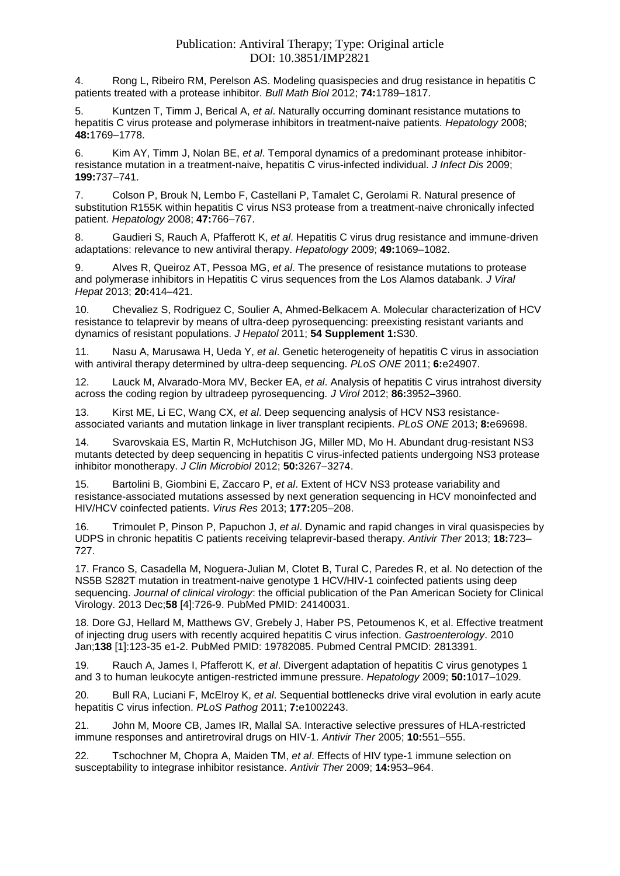4. Rong L, Ribeiro RM, Perelson AS. Modeling quasispecies and drug resistance in hepatitis C patients treated with a protease inhibitor. *Bull Math Biol* 2012; **74:**1789–1817.

5. Kuntzen T, Timm J, Berical A, *et al*. Naturally occurring dominant resistance mutations to hepatitis C virus protease and polymerase inhibitors in treatment-naive patients. *Hepatology* 2008; **48:**1769–1778.

6. Kim AY, Timm J, Nolan BE, *et al*. Temporal dynamics of a predominant protease inhibitorresistance mutation in a treatment-naive, hepatitis C virus-infected individual. *J Infect Dis* 2009; **199:**737–741.

7. Colson P, Brouk N, Lembo F, Castellani P, Tamalet C, Gerolami R. Natural presence of substitution R155K within hepatitis C virus NS3 protease from a treatment-naive chronically infected patient. *Hepatology* 2008; **47:**766–767.

8. Gaudieri S, Rauch A, Pfafferott K, *et al*. Hepatitis C virus drug resistance and immune-driven adaptations: relevance to new antiviral therapy. *Hepatology* 2009; **49:**1069–1082.

9. Alves R, Queiroz AT, Pessoa MG, *et al*. The presence of resistance mutations to protease and polymerase inhibitors in Hepatitis C virus sequences from the Los Alamos databank. *J Viral Hepat* 2013; **20:**414–421.

10. Chevaliez S, Rodriguez C, Soulier A, Ahmed-Belkacem A. Molecular characterization of HCV resistance to telaprevir by means of ultra-deep pyrosequencing: preexisting resistant variants and dynamics of resistant populations. *J Hepatol* 2011; **54 Supplement 1:**S30.

11. Nasu A, Marusawa H, Ueda Y, *et al*. Genetic heterogeneity of hepatitis C virus in association with antiviral therapy determined by ultra-deep sequencing. *PLoS ONE* 2011; **6:**e24907.

12. Lauck M, Alvarado-Mora MV, Becker EA, *et al*. Analysis of hepatitis C virus intrahost diversity across the coding region by ultradeep pyrosequencing. *J Virol* 2012; **86:**3952–3960.

13. Kirst ME, Li EC, Wang CX, *et al*. Deep sequencing analysis of HCV NS3 resistanceassociated variants and mutation linkage in liver transplant recipients. *PLoS ONE* 2013; **8:**e69698.

14. Svarovskaia ES, Martin R, McHutchison JG, Miller MD, Mo H. Abundant drug-resistant NS3 mutants detected by deep sequencing in hepatitis C virus-infected patients undergoing NS3 protease inhibitor monotherapy. *J Clin Microbiol* 2012; **50:**3267–3274.

15. Bartolini B, Giombini E, Zaccaro P, *et al*. Extent of HCV NS3 protease variability and resistance-associated mutations assessed by next generation sequencing in HCV monoinfected and HIV/HCV coinfected patients. *Virus Res* 2013; **177:**205–208.

16. Trimoulet P, Pinson P, Papuchon J, *et al*. Dynamic and rapid changes in viral quasispecies by UDPS in chronic hepatitis C patients receiving telaprevir-based therapy. *Antivir Ther* 2013; **18:**723– 727.

17. Franco S, Casadella M, Noguera-Julian M, Clotet B, Tural C, Paredes R, et al. No detection of the NS5B S282T mutation in treatment-naive genotype 1 HCV/HIV-1 coinfected patients using deep sequencing. *Journal of clinical virology*: the official publication of the Pan American Society for Clinical Virology. 2013 Dec;**58** [4]:726-9. PubMed PMID: 24140031.

18. Dore GJ, Hellard M, Matthews GV, Grebely J, Haber PS, Petoumenos K, et al. Effective treatment of injecting drug users with recently acquired hepatitis C virus infection. *Gastroenterology*. 2010 Jan;**138** [1]:123-35 e1-2. PubMed PMID: 19782085. Pubmed Central PMCID: 2813391.

19. Rauch A, James I, Pfafferott K, *et al*. Divergent adaptation of hepatitis C virus genotypes 1 and 3 to human leukocyte antigen-restricted immune pressure. *Hepatology* 2009; **50:**1017–1029.

20. Bull RA, Luciani F, McElroy K, *et al*. Sequential bottlenecks drive viral evolution in early acute hepatitis C virus infection. *PLoS Pathog* 2011; **7:**e1002243.

21. John M, Moore CB, James IR, Mallal SA. Interactive selective pressures of HLA-restricted immune responses and antiretroviral drugs on HIV-1. *Antivir Ther* 2005; **10:**551–555.

22. Tschochner M, Chopra A, Maiden TM, *et al*. Effects of HIV type-1 immune selection on susceptability to integrase inhibitor resistance. *Antivir Ther* 2009; **14:**953–964.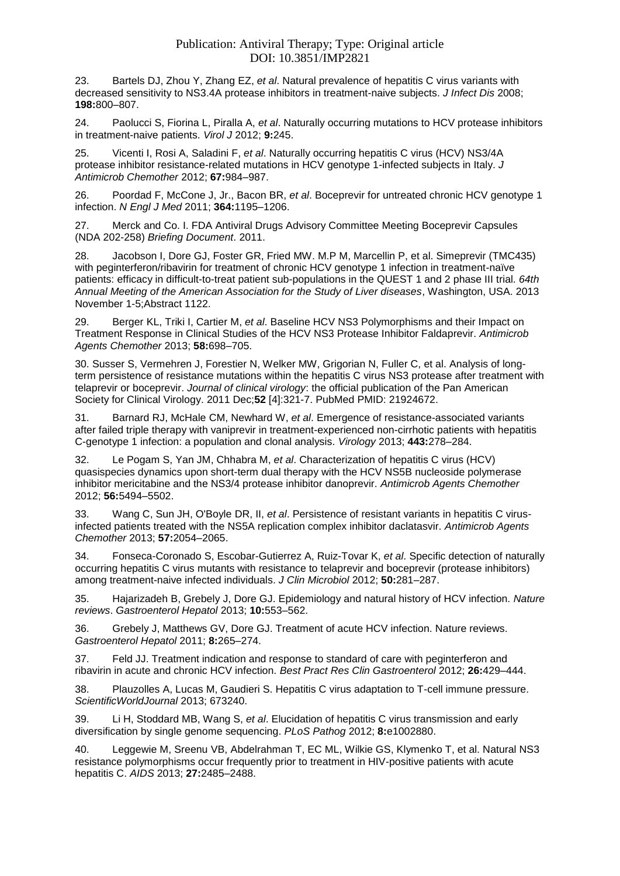23. Bartels DJ, Zhou Y, Zhang EZ, *et al*. Natural prevalence of hepatitis C virus variants with decreased sensitivity to NS3.4A protease inhibitors in treatment-naive subjects. *J Infect Dis* 2008; **198:**800–807.

24. Paolucci S, Fiorina L, Piralla A, *et al*. Naturally occurring mutations to HCV protease inhibitors in treatment-naive patients. *Virol J* 2012; **9:**245.

25. Vicenti I, Rosi A, Saladini F, *et al*. Naturally occurring hepatitis C virus (HCV) NS3/4A protease inhibitor resistance-related mutations in HCV genotype 1-infected subjects in Italy. *J Antimicrob Chemother* 2012; **67:**984–987.

26. Poordad F, McCone J, Jr., Bacon BR, *et al*. Boceprevir for untreated chronic HCV genotype 1 infection. *N Engl J Med* 2011; **364:**1195–1206.

27. Merck and Co. I. FDA Antiviral Drugs Advisory Committee Meeting Boceprevir Capsules (NDA 202-258) *Briefing Document*. 2011.

28. Jacobson I, Dore GJ, Foster GR, Fried MW. M.P M, Marcellin P, et al. Simeprevir (TMC435) with peginterferon/ribavirin for treatment of chronic HCV genotype 1 infection in treatment-naïve patients: efficacy in difficult-to-treat patient sub-populations in the QUEST 1 and 2 phase III trial. *64th Annual Meeting of the American Association for the Study of Liver diseases*, Washington, USA. 2013 November 1-5;Abstract 1122.

29. Berger KL, Triki I, Cartier M, *et al*. Baseline HCV NS3 Polymorphisms and their Impact on Treatment Response in Clinical Studies of the HCV NS3 Protease Inhibitor Faldaprevir. *Antimicrob Agents Chemother* 2013; **58:**698–705.

30. Susser S, Vermehren J, Forestier N, Welker MW, Grigorian N, Fuller C, et al. Analysis of longterm persistence of resistance mutations within the hepatitis C virus NS3 protease after treatment with telaprevir or boceprevir. *Journal of clinical virology*: the official publication of the Pan American Society for Clinical Virology. 2011 Dec;**52** [4]:321-7. PubMed PMID: 21924672.

31. Barnard RJ, McHale CM, Newhard W, *et al*. Emergence of resistance-associated variants after failed triple therapy with vaniprevir in treatment-experienced non-cirrhotic patients with hepatitis C-genotype 1 infection: a population and clonal analysis. *Virology* 2013; **443:**278–284.

32. Le Pogam S, Yan JM, Chhabra M, *et al*. Characterization of hepatitis C virus (HCV) quasispecies dynamics upon short-term dual therapy with the HCV NS5B nucleoside polymerase inhibitor mericitabine and the NS3/4 protease inhibitor danoprevir. *Antimicrob Agents Chemother* 2012; **56:**5494–5502.

33. Wang C, Sun JH, O'Boyle DR, II, *et al*. Persistence of resistant variants in hepatitis C virusinfected patients treated with the NS5A replication complex inhibitor daclatasvir. *Antimicrob Agents Chemother* 2013; **57:**2054–2065.

34. Fonseca-Coronado S, Escobar-Gutierrez A, Ruiz-Tovar K, *et al*. Specific detection of naturally occurring hepatitis C virus mutants with resistance to telaprevir and boceprevir (protease inhibitors) among treatment-naive infected individuals. *J Clin Microbiol* 2012; **50:**281–287.

35. Hajarizadeh B, Grebely J, Dore GJ. Epidemiology and natural history of HCV infection. *Nature reviews*. *Gastroenterol Hepatol* 2013; **10:**553–562.

36. Grebely J, Matthews GV, Dore GJ. Treatment of acute HCV infection. Nature reviews. *Gastroenterol Hepatol* 2011; **8:**265–274.

37. Feld JJ. Treatment indication and response to standard of care with peginterferon and ribavirin in acute and chronic HCV infection. *Best Pract Res Clin Gastroenterol* 2012; **26:**429–444.

38. Plauzolles A, Lucas M, Gaudieri S. Hepatitis C virus adaptation to T-cell immune pressure. *ScientificWorldJournal* 2013; 673240[.](http://www.ncbi.nlm.nih.gov/entrez/query.fcgi?cmd=Retrieve&db=PubMed&list_uids=23554569&dopt=Abstract)

39. Li H, Stoddard MB, Wang S, *et al*. Elucidation of hepatitis C virus transmission and early diversification by single genome sequencing. *PLoS Pathog* 2012; **8:**e1002880.

40. Leggewie M, Sreenu VB, Abdelrahman T, EC ML, Wilkie GS, Klymenko T, et al. Natural NS3 resistance polymorphisms occur frequently prior to treatment in HIV-positive patients with acute hepatitis C. *AIDS* 2013; **27:**2485–2488.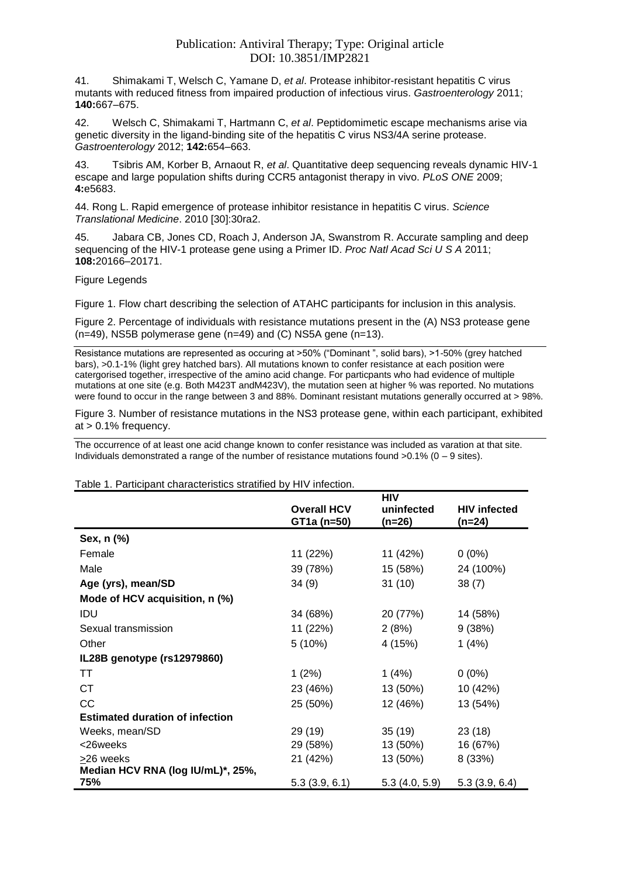41. Shimakami T, Welsch C, Yamane D, *et al*. Protease inhibitor-resistant hepatitis C virus mutants with reduced fitness from impaired production of infectious virus. *Gastroenterology* 2011; **140:**667–675.

42. Welsch C, Shimakami T, Hartmann C, *et al*. Peptidomimetic escape mechanisms arise via genetic diversity in the ligand-binding site of the hepatitis C virus NS3/4A serine protease. *Gastroenterology* 2012; **142:**654–663.

43. Tsibris AM, Korber B, Arnaout R, *et al*. Quantitative deep sequencing reveals dynamic HIV-1 escape and large population shifts during CCR5 antagonist therapy in vivo. *PLoS ONE* 2009; **4:**e5683.

44. Rong L. Rapid emergence of protease inhibitor resistance in hepatitis C virus. *Science Translational Medicine*. 2010 [30]:30ra2.

45. Jabara CB, Jones CD, Roach J, Anderson JA, Swanstrom R. Accurate sampling and deep sequencing of the HIV-1 protease gene using a Primer ID. *Proc Natl Acad Sci U S A* 2011; **108:**20166–20171.

Figure Legends

Figure 1. Flow chart describing the selection of ATAHC participants for inclusion in this analysis.

Figure 2. Percentage of individuals with resistance mutations present in the (A) NS3 protease gene (n=49), NS5B polymerase gene (n=49) and (C) NS5A gene (n=13).

Resistance mutations are represented as occuring at >50% ("Dominant ", solid bars), >1-50% (grey hatched bars), >0.1-1% (light grey hatched bars). All mutations known to confer resistance at each position were catergorised together, irrespective of the amino acid change. For particpants who had evidence of multiple mutations at one site (e.g. Both M423T andM423V), the mutation seen at higher % was reported. No mutations were found to occur in the range between 3 and 88%. Dominant resistant mutations generally occurred at > 98%.

Figure 3. Number of resistance mutations in the NS3 protease gene, within each participant, exhibited at > 0.1% frequency.

The occurrence of at least one acid change known to confer resistance was included as varation at that site. Individuals demonstrated a range of the number of resistance mutations found >0.1% (0 – 9 sites).

|                                          |                                   | HIV                    |                               |
|------------------------------------------|-----------------------------------|------------------------|-------------------------------|
|                                          | <b>Overall HCV</b><br>GT1a (n=50) | uninfected<br>$(n=26)$ | <b>HIV</b> infected<br>(n=24) |
| Sex, n (%)                               |                                   |                        |                               |
| Female                                   | 11 (22%)                          | 11 (42%)               | $0(0\%)$                      |
| Male                                     | 39 (78%)                          | 15 (58%)               | 24 (100%)                     |
| Age (yrs), mean/SD                       | 34(9)                             | 31(10)                 | 38(7)                         |
| Mode of HCV acquisition, n (%)           |                                   |                        |                               |
| IDU                                      | 34 (68%)                          | 20 (77%)               | 14 (58%)                      |
| Sexual transmission                      | 11 (22%)                          | 2(8%)                  | 9(38%)                        |
| Other                                    | $5(10\%)$                         | 4 (15%)                | 1(4%)                         |
| IL28B genotype (rs12979860)              |                                   |                        |                               |
| TT                                       | 1(2%)                             | 1 (4%)                 | $0(0\%)$                      |
| СT                                       | 23 (46%)                          | 13 (50%)               | 10 (42%)                      |
| CC                                       | 25 (50%)                          | 12 (46%)               | 13 (54%)                      |
| <b>Estimated duration of infection</b>   |                                   |                        |                               |
| Weeks, mean/SD                           | 29 (19)                           | 35(19)                 | 23(18)                        |
| <26weeks                                 | 29 (58%)                          | 13 (50%)               | 16 (67%)                      |
| >26 weeks                                | 21 (42%)                          | 13 (50%)               | 8 (33%)                       |
| Median HCV RNA (log IU/mL)*, 25%,<br>75% | 5.3(3.9, 6.1)                     | 5.3(4.0, 5.9)          | 5.3(3.9, 6.4)                 |

Table 1. Participant characteristics stratified by HIV infection.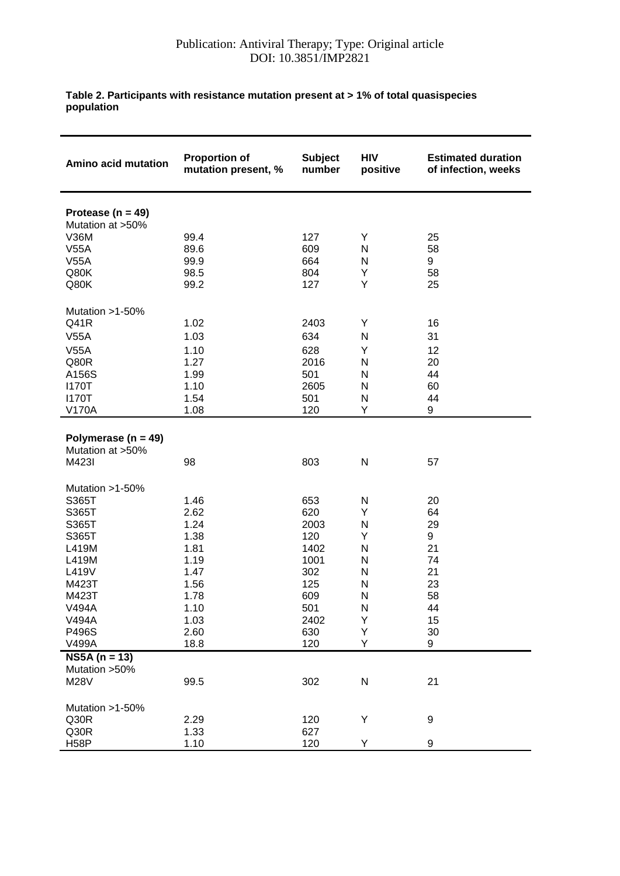#### **Table 2. Participants with resistance mutation present at > 1% of total quasispecies population**

| Amino acid mutation     | <b>Proportion of</b><br>mutation present, % | <b>Subject</b><br>number | <b>HIV</b><br>positive | <b>Estimated duration</b><br>of infection, weeks |
|-------------------------|---------------------------------------------|--------------------------|------------------------|--------------------------------------------------|
| Protease ( $n = 49$ )   |                                             |                          |                        |                                                  |
| Mutation at >50%        |                                             |                          |                        |                                                  |
| <b>V36M</b>             | 99.4                                        | 127                      | Y                      | 25                                               |
| V55A                    | 89.6                                        | 609                      | N                      | 58                                               |
| V55A                    | 99.9                                        | 664                      | N                      | 9                                                |
| Q80K                    | 98.5                                        | 804                      | Υ                      | 58                                               |
| Q80K                    | 99.2                                        | 127                      | Υ                      | 25                                               |
| Mutation >1-50%         |                                             |                          |                        |                                                  |
| Q41R                    | 1.02                                        | 2403                     | Υ                      | 16                                               |
| V55A                    | 1.03                                        | 634                      | N                      | 31                                               |
| V55A                    | 1.10                                        | 628                      | Υ                      | 12                                               |
| Q80R                    | 1.27                                        | 2016                     | N                      | 20                                               |
| A156S                   | 1.99                                        | 501                      | N                      | 44                                               |
| <b>I170T</b>            | 1.10                                        | 2605                     | N                      | 60                                               |
| <b>I170T</b>            | 1.54                                        | 501                      | N                      | 44                                               |
| <b>V170A</b>            | 1.08                                        | 120                      | Υ                      | 9                                                |
|                         |                                             |                          |                        |                                                  |
| Polymerase ( $n = 49$ ) |                                             |                          |                        |                                                  |
| Mutation at >50%        |                                             |                          |                        |                                                  |
| M423I                   | 98                                          | 803                      | N                      | 57                                               |
| Mutation >1-50%         |                                             |                          |                        |                                                  |
| S365T                   | 1.46                                        | 653                      | N                      | 20                                               |
| S365T                   | 2.62                                        | 620                      | Υ                      | 64                                               |
| S365T                   | 1.24                                        | 2003                     | N                      | 29                                               |
| S365T                   | 1.38                                        | 120                      | Υ                      | 9                                                |
| L419M                   | 1.81                                        | 1402                     | N                      | 21                                               |
| L419M                   | 1.19                                        | 1001                     | N                      | 74                                               |
| L419V                   | 1.47                                        | 302                      | N                      | 21                                               |
| M423T                   | 1.56                                        | 125                      | N                      | 23                                               |
| M423T                   | 1.78                                        | 609                      | N                      | 58                                               |
| V494A                   | 1.10                                        | 501                      | N                      | 44                                               |
| <b>V494A</b>            | 1.03                                        | 2402                     | Υ                      | 15                                               |
| P496S                   | 2.60                                        | 630                      | Υ                      | 30                                               |
| V499A                   | 18.8                                        | 120                      | Υ                      | 9                                                |
| $NS5A (n = 13)$         |                                             |                          |                        |                                                  |
| Mutation > 50%          | 99.5                                        |                          |                        | 21                                               |
| <b>M28V</b>             |                                             | 302                      | ${\sf N}$              |                                                  |
| Mutation >1-50%         |                                             |                          |                        |                                                  |
| Q30R                    | 2.29                                        | 120                      | Υ                      | $\boldsymbol{9}$                                 |
| Q30R                    | 1.33                                        | 627                      |                        |                                                  |
| H <sub>58</sub> P       | 1.10                                        | 120                      | Υ                      | 9                                                |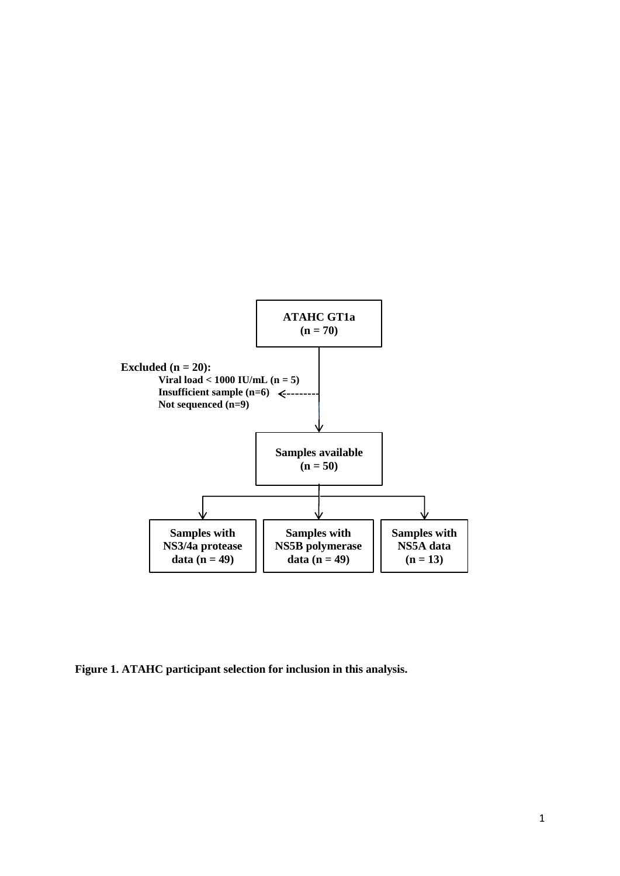

**Figure 1. ATAHC participant selection for inclusion in this analysis.**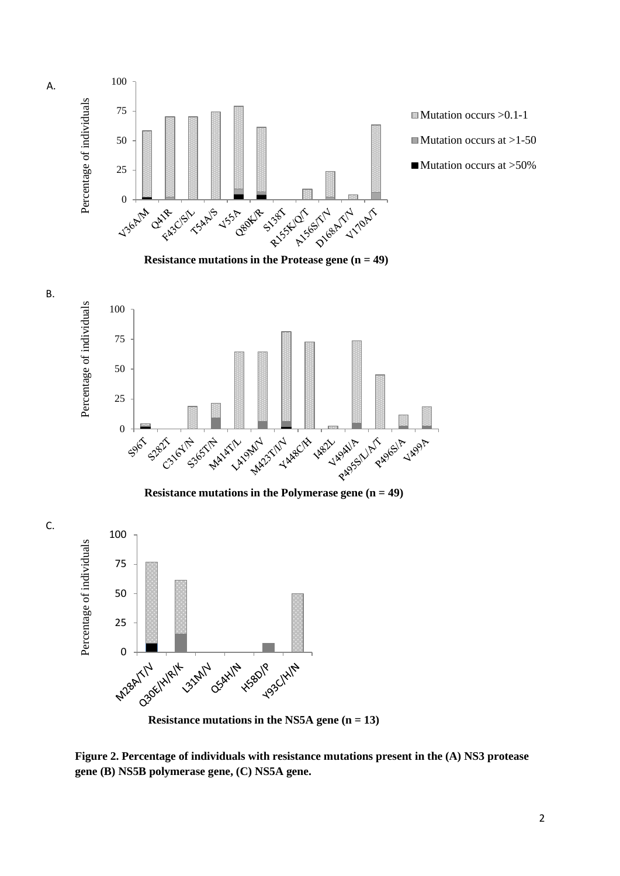

**Figure 2. Percentage of individuals with resistance mutations present in the (A) NS3 protease gene (B) NS5B polymerase gene, (C) NS5A gene.** 

C.